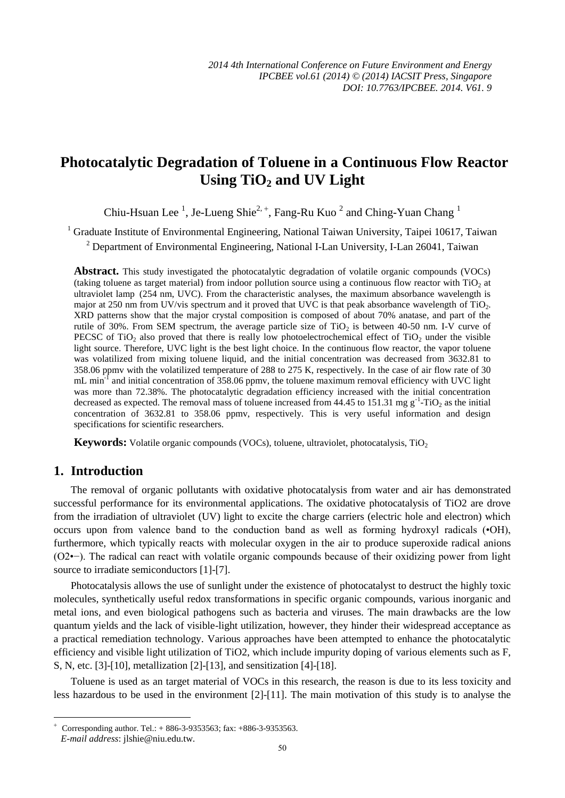# **Photocatalytic Degradation of Toluene in a Continuous Flow Reactor Using TiO2 and UV Light**

Chiu-Hsuan Lee<sup>1</sup>, Je-Lueng Shie<sup>2, +</sup>, Fang-Ru Kuo<sup>2</sup> and Ching-Yuan Chang<sup>1</sup>

<sup>1</sup> Graduate Institute of Environmental Engineering, National Taiwan University, Taipei 10617, Taiwan

 $2$  Department of Environmental Engineering, National I-Lan University, I-Lan 26041, Taiwan

**Abstract.** This study investigated the photocatalytic degradation of volatile organic compounds (VOCs) (taking toluene as target material) from indoor pollution source using a continuous flow reactor with  $TiO<sub>2</sub>$  at ultraviolet lamp (254 nm, UVC). From the characteristic analyses, the maximum absorbance wavelength is major at 250 nm from UV/vis spectrum and it proved that UVC is that peak absorbance wavelength of TiO<sub>2</sub>. XRD patterns show that the major crystal composition is composed of about 70% anatase, and part of the rutile of 30%. From SEM spectrum, the average particle size of  $TiO<sub>2</sub>$  is between 40-50 nm. I-V curve of PECSC of TiO<sub>2</sub> also proved that there is really low photoelectrochemical effect of TiO<sub>2</sub> under the visible light source. Therefore, UVC light is the best light choice. In the continuous flow reactor, the vapor toluene was volatilized from mixing toluene liquid, and the initial concentration was decreased from 3632.81 to 358.06 ppmv with the volatilized temperature of 288 to 275 K, respectively. In the case of air flow rate of 30 mL min<sup>-1</sup> and initial concentration of 358.06 ppmv, the toluene maximum removal efficiency with UVC light was more than 72.38%. The photocatalytic degradation efficiency increased with the initial concentration decreased as expected. The removal mass of toluene increased from 44.45 to 151.31 mg  $g^{-1}$ -TiO<sub>2</sub> as the initial concentration of 3632.81 to 358.06 ppmv, respectively. This is very useful information and design specifications for scientific researchers.

**Keywords:** Volatile organic compounds (VOCs), toluene, ultraviolet, photocatalysis, TiO<sub>2</sub>

# **1. Introduction**

-

The removal of organic pollutants with oxidative photocatalysis from water and air has demonstrated successful performance for its environmental applications. The oxidative photocatalysis of TiO2 are drove from the irradiation of ultraviolet (UV) light to excite the charge carriers (electric hole and electron) which occurs upon from valence band to the conduction band as well as forming hydroxyl radicals (•OH), furthermore, which typically reacts with molecular oxygen in the air to produce superoxide radical anions (O2•−). The radical can react with volatile organic compounds because of their oxidizing power from light source to irradiate semiconductors [1]-[7].

Photocatalysis allows the use of sunlight under the existence of photocatalyst to destruct the highly toxic molecules, synthetically useful redox transformations in specific organic compounds, various inorganic and metal ions, and even biological pathogens such as bacteria and viruses. The main drawbacks are the low quantum yields and the lack of visible-light utilization, however, they hinder their widespread acceptance as a practical remediation technology. Various approaches have been attempted to enhance the photocatalytic efficiency and visible light utilization of TiO2, which include impurity doping of various elements such as F, S, N, etc. [3]-[10], metallization [2]-[13], and sensitization [4]-[18].

Toluene is used as an target material of VOCs in this research, the reason is due to its less toxicity and less hazardous to be used in the environment [2]-[11]. The main motivation of this study is to analyse the

 $^{+}$  Corresponding author. Tel.: + 886-3-9353563; fax: +886-3-9353563. *E-mail address*: jlshie@niu.edu.tw.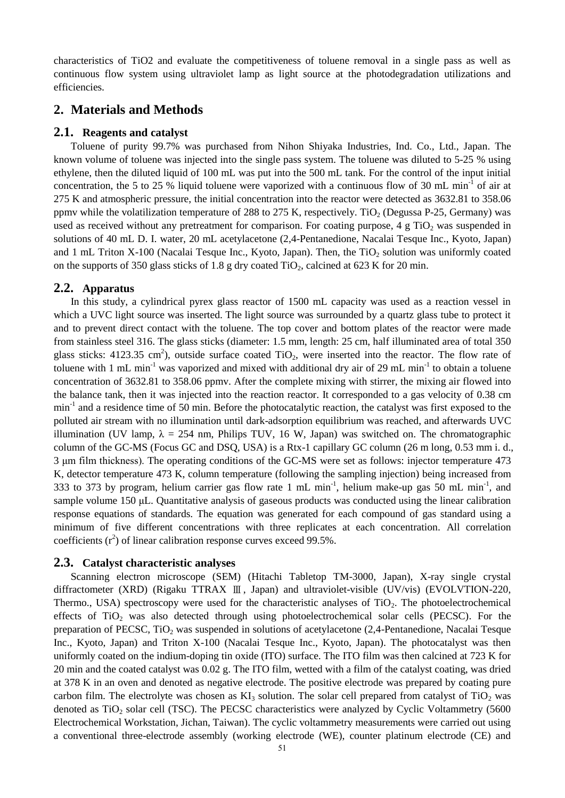characteristics of TiO2 and evaluate the competitiveness of toluene removal in a single pass as well as continuous flow system using ultraviolet lamp as light source at the photodegradation utilizations and efficiencies.

# **2. Materials and Methods**

#### **2.1. Reagents and catalyst**

Toluene of purity 99.7% was purchased from Nihon Shiyaka Industries, Ind. Co., Ltd., Japan. The known volume of toluene was injected into the single pass system. The toluene was diluted to 5-25 % using ethylene, then the diluted liquid of 100 mL was put into the 500 mL tank. For the control of the input initial concentration, the 5 to 25 % liquid toluene were vaporized with a continuous flow of 30 mL min-1 of air at 275 K and atmospheric pressure, the initial concentration into the reactor were detected as 3632.81 to 358.06 ppmv while the volatilization temperature of 288 to 275 K, respectively. TiO<sub>2</sub> (Degussa P-25, Germany) was used as received without any pretreatment for comparison. For coating purpose,  $4 \text{ g } TiO<sub>2</sub>$  was suspended in solutions of 40 mL D. I. water, 20 mL acetylacetone (2,4-Pentanedione, Nacalai Tesque Inc., Kyoto, Japan) and 1 mL Triton X-100 (Nacalai Tesque Inc., Kyoto, Japan). Then, the  $TiO<sub>2</sub>$  solution was uniformly coated on the supports of 350 glass sticks of 1.8 g dry coated  $TiO<sub>2</sub>$ , calcined at 623 K for 20 min.

#### **2.2. Apparatus**

In this study, a cylindrical pyrex glass reactor of 1500 mL capacity was used as a reaction vessel in which a UVC light source was inserted. The light source was surrounded by a quartz glass tube to protect it and to prevent direct contact with the toluene. The top cover and bottom plates of the reactor were made from stainless steel 316. The glass sticks (diameter: 1.5 mm, length: 25 cm, half illuminated area of total 350 glass sticks: 4123.35 cm<sup>2</sup>), outside surface coated TiO<sub>2</sub>, were inserted into the reactor. The flow rate of toluene with 1 mL min<sup>-1</sup> was vaporized and mixed with additional dry air of 29 mL min<sup>-1</sup> to obtain a toluene concentration of 3632.81 to 358.06 ppmv. After the complete mixing with stirrer, the mixing air flowed into the balance tank, then it was injected into the reaction reactor. It corresponded to a gas velocity of 0.38 cm min<sup>-1</sup> and a residence time of 50 min. Before the photocatalytic reaction, the catalyst was first exposed to the polluted air stream with no illumination until dark-adsorption equilibrium was reached, and afterwards UVC illumination (UV lamp,  $\lambda = 254$  nm, Philips TUV, 16 W, Japan) was switched on. The chromatographic column of the GC-MS (Focus GC and DSQ, USA) is a Rtx-1 capillary GC column (26 m long, 0.53 mm i. d., 3 μm film thickness). The operating conditions of the GC-MS were set as follows: injector temperature 473 K, detector temperature 473 K, column temperature (following the sampling injection) being increased from 333 to 373 by program, helium carrier gas flow rate 1 mL min-1, helium make-up gas 50 mL min-1, and sample volume 150 μL. Quantitative analysis of gaseous products was conducted using the linear calibration response equations of standards. The equation was generated for each compound of gas standard using a minimum of five different concentrations with three replicates at each concentration. All correlation coefficients  $(r^2)$  of linear calibration response curves exceed 99.5%.

#### **2.3. Catalyst characteristic analyses**

Scanning electron microscope (SEM) (Hitachi Tabletop TM-3000, Japan), X-ray single crystal diffractometer (XRD) (Rigaku TTRAX Ⅲ, Japan) and ultraviolet-visible (UV/vis) (EVOLVTION-220, Thermo., USA) spectroscopy were used for the characteristic analyses of  $TiO<sub>2</sub>$ . The photoelectrochemical effects of  $TiO<sub>2</sub>$  was also detected through using photoelectrochemical solar cells (PECSC). For the preparation of PECSC, TiO<sub>2</sub> was suspended in solutions of acetylacetone  $(2,4$ -Pentanedione, Nacalai Tesque Inc., Kyoto, Japan) and Triton X-100 (Nacalai Tesque Inc., Kyoto, Japan). The photocatalyst was then uniformly coated on the indium-doping tin oxide (ITO) surface. The ITO film was then calcined at 723 K for 20 min and the coated catalyst was 0.02 g. The ITO film, wetted with a film of the catalyst coating, was dried at 378 K in an oven and denoted as negative electrode. The positive electrode was prepared by coating pure carbon film. The electrolyte was chosen as  $KI_3$  solution. The solar cell prepared from catalyst of TiO<sub>2</sub> was denoted as  $TiO<sub>2</sub>$  solar cell (TSC). The PECSC characteristics were analyzed by Cyclic Voltammetry (5600 Electrochemical Workstation, Jichan, Taiwan). The cyclic voltammetry measurements were carried out using a conventional three-electrode assembly (working electrode (WE), counter platinum electrode (CE) and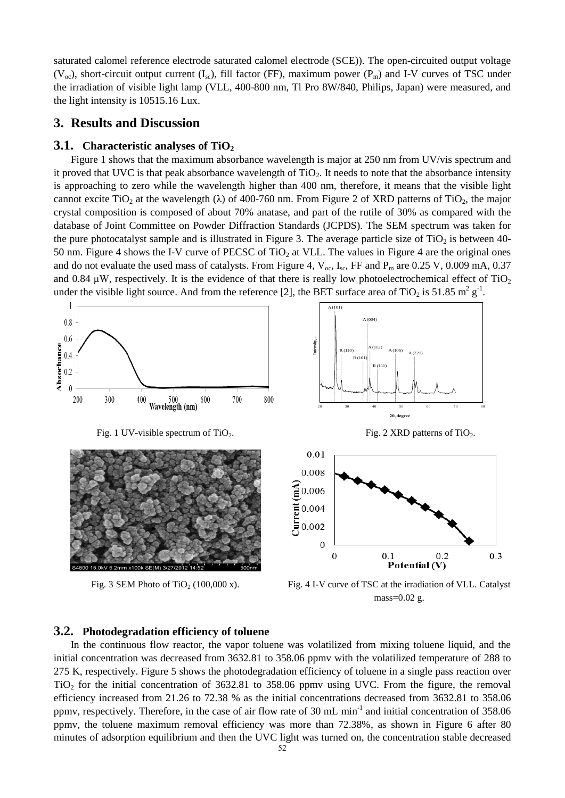saturated calomel reference electrode saturated calomel electrode (SCE)). The open-circuited output voltage ( $V_{oc}$ ), short-circuit output current ( $I_{sc}$ ), fill factor (FF), maximum power ( $P_m$ ) and I-V curves of TSC under the irradiation of visible light lamp (VLL, 400-800 nm, Tl Pro 8W/840, Philips, Japan) were measured, and the light intensity is 10515.16 Lux.

### **3. Results and Discussion**

#### **3.1. Characteristic analyses of TiO<sup>2</sup>**

Figure 1 shows that the maximum absorbance wavelength is major at 250 nm from UV/vis spectrum and it proved that UVC is that peak absorbance wavelength of TiO2. It needs to note that the absorbance intensity is approaching to zero while the wavelength higher than 400 nm, therefore, it means that the visible light cannot excite TiO<sub>2</sub> at the wavelength ( $\lambda$ ) of 400-760 nm. From Figure 2 of XRD patterns of TiO<sub>2</sub>, the major crystal composition is composed of about 70% anatase, and part of the rutile of 30% as compared with the database of Joint Committee on Powder Diffraction Standards (JCPDS). The SEM spectrum was taken for the pure photocatalyst sample and is illustrated in Figure 3. The average particle size of  $TiO<sub>2</sub>$  is between 40-50 nm. Figure 4 shows the I-V curve of PECSC of TiO<sub>2</sub> at VLL. The values in Figure 4 are the original ones and do not evaluate the used mass of catalysts. From Figure 4,  $V_{oc}$ , I<sub>sc</sub>, FF and P<sub>m</sub> are 0.25 V, 0.009 mA, 0.37 and 0.84  $\mu$ W, respectively. It is the evidence of that there is really low photoelectrochemical effect of TiO<sub>2</sub> under the visible light source. And from the reference [2], the BET surface area of TiO<sub>2</sub> is 51.85 m<sup>2</sup> g<sup>-1</sup>.



Fig. 3 SEM Photo of TiO<sub>2</sub> (100,000 x). Fig. 4 I-V curve of TSC at the irradiation of VLL. Catalyst mass=0.02 g.

#### **3.2. Photodegradation efficiency of toluene**

In the continuous flow reactor, the vapor toluene was volatilized from mixing toluene liquid, and the initial concentration was decreased from 3632.81 to 358.06 ppmv with the volatilized temperature of 288 to 275 K, respectively. Figure 5 shows the photodegradation efficiency of toluene in a single pass reaction over TiO2 for the initial concentration of 3632.81 to 358.06 ppmv using UVC. From the figure, the removal efficiency increased from 21.26 to 72.38 % as the initial concentrations decreased from 3632.81 to 358.06 ppmv, respectively. Therefore, in the case of air flow rate of 30 mL min-1 and initial concentration of 358.06 ppmv, the toluene maximum removal efficiency was more than 72.38%, as shown in Figure 6 after 80 minutes of adsorption equilibrium and then the UVC light was turned on, the concentration stable decreased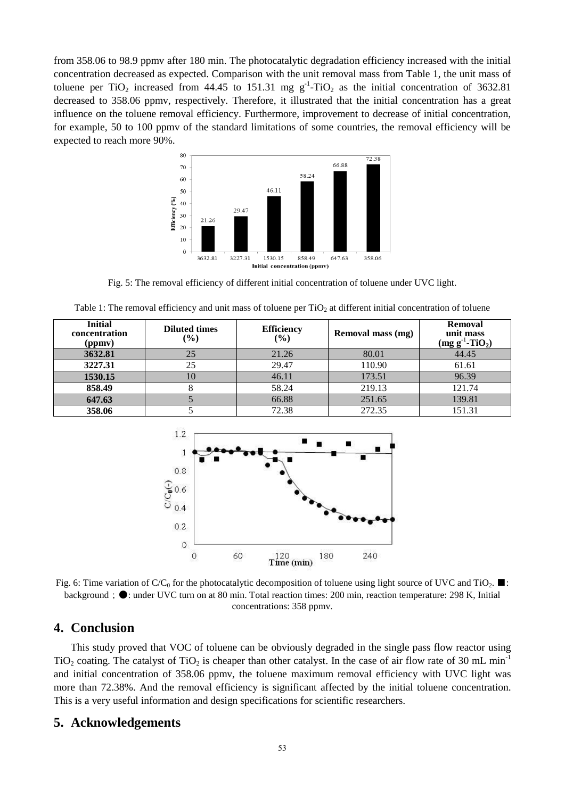from 358.06 to 98.9 ppmv after 180 min. The photocatalytic degradation efficiency increased with the initial concentration decreased as expected. Comparison with the unit removal mass from Table 1, the unit mass of toluene per TiO<sub>2</sub> increased from 44.45 to 151.31 mg  $g^{-1}$ -TiO<sub>2</sub> as the initial concentration of 3632.81 decreased to 358.06 ppmv, respectively. Therefore, it illustrated that the initial concentration has a great influence on the toluene removal efficiency. Furthermore, improvement to decrease of initial concentration, for example, 50 to 100 ppmv of the standard limitations of some countries, the removal efficiency will be expected to reach more 90%.



Fig. 5: The removal efficiency of different initial concentration of toluene under UVC light.

| Table 1: The removal efficiency and unit mass of toluene per $TiO2$ at different initial concentration of toluene |  |  |  |  |
|-------------------------------------------------------------------------------------------------------------------|--|--|--|--|
|-------------------------------------------------------------------------------------------------------------------|--|--|--|--|

| <b>Initial</b><br>concentration<br>(ppmv) | <b>Diluted times</b><br>$(\%)$ | <b>Efficiency</b><br>$($ %) | Removal mass (mg) | <b>Removal</b><br>unit mass<br>$(mg g^{-1} - TiO2)$ |
|-------------------------------------------|--------------------------------|-----------------------------|-------------------|-----------------------------------------------------|
| 3632.81                                   | 25                             | 21.26                       | 80.01             | 44.45                                               |
| 3227.31                                   | 25                             | 29.47                       | 110.90            | 61.61                                               |
| 1530.15                                   | 10                             | 46.11                       | 173.51            | 96.39                                               |
| 858.49                                    |                                | 58.24                       | 219.13            | 121.74                                              |
| 647.63                                    |                                | 66.88                       | 251.65            | 139.81                                              |
| 358.06                                    |                                | 72.38                       | 272.35            | 151.31                                              |



Fig. 6: Time variation of C/C<sub>0</sub> for the photocatalytic decomposition of toluene using light source of UVC and TiO<sub>2</sub>. background; ●: under UVC turn on at 80 min. Total reaction times: 200 min, reaction temperature: 298 K, Initial concentrations: 358 ppmv.

### **4. Conclusion**

This study proved that VOC of toluene can be obviously degraded in the single pass flow reactor using TiO<sub>2</sub> coating. The catalyst of TiO<sub>2</sub> is cheaper than other catalyst. In the case of air flow rate of 30 mL min<sup>-1</sup> and initial concentration of 358.06 ppmv, the toluene maximum removal efficiency with UVC light was more than 72.38%. And the removal efficiency is significant affected by the initial toluene concentration. This is a very useful information and design specifications for scientific researchers.

#### **5. Acknowledgements**